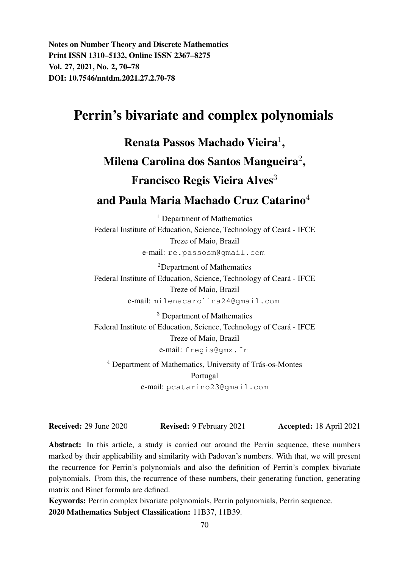Notes on Number Theory and Discrete Mathematics Print ISSN 1310–5132, Online ISSN 2367–8275 Vol. 27, 2021, No. 2, 70–78 DOI: 10.7546/nntdm.2021.27.2.70-78

# Perrin's bivariate and complex polynomials

Renata Passos Machado Vieira $^1\!$ Milena Carolina dos Santos Mangueira $^2\!$ Francisco Regis Vieira Alves<sup>3</sup>

# and Paula Maria Machado Cruz Catarino<sup>4</sup>

<sup>1</sup> Department of Mathematics Federal Institute of Education, Science, Technology of Ceara - IFCE ´ Treze of Maio, Brazil e-mail: re.passosm@gmail.com

<sup>2</sup>Department of Mathematics Federal Institute of Education, Science, Technology of Ceará - IFCE Treze of Maio, Brazil e-mail: milenacarolina24@gmail.com

<sup>3</sup> Department of Mathematics Federal Institute of Education, Science, Technology of Ceara - IFCE ´ Treze of Maio, Brazil e-mail: fregis@gmx.fr

 $4$  Department of Mathematics, University of Trás-os-Montes Portugal e-mail: pcatarino23@gmail.com

Received: 29 June 2020 Revised: 9 February 2021 Accepted: 18 April 2021

Abstract: In this article, a study is carried out around the Perrin sequence, these numbers marked by their applicability and similarity with Padovan's numbers. With that, we will present the recurrence for Perrin's polynomials and also the definition of Perrin's complex bivariate polynomials. From this, the recurrence of these numbers, their generating function, generating matrix and Binet formula are defined.

Keywords: Perrin complex bivariate polynomials, Perrin polynomials, Perrin sequence. 2020 Mathematics Subject Classification: 11B37, 11B39.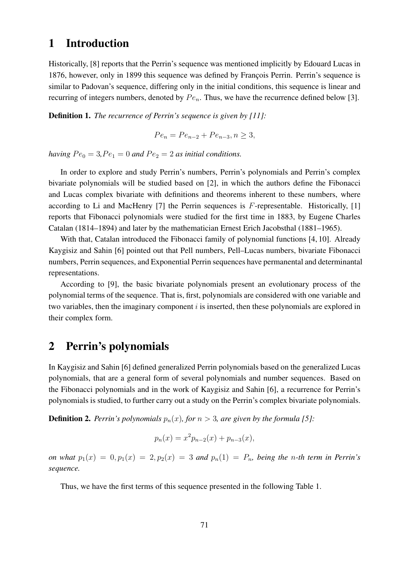## 1 Introduction

Historically, [8] reports that the Perrin's sequence was mentioned implicitly by Edouard Lucas in 1876, however, only in 1899 this sequence was defined by François Perrin. Perrin's sequence is similar to Padovan's sequence, differing only in the initial conditions, this sequence is linear and recurring of integers numbers, denoted by  $Pe_n$ . Thus, we have the recurrence defined below [3].

Definition 1. *The recurrence of Perrin's sequence is given by [11]:*

$$
Pe_n = Pe_{n-2} + Pe_{n-3}, n \ge 3,
$$

*having*  $Pe_0 = 3$ ,  $Pe_1 = 0$  *and*  $Pe_2 = 2$  *as initial conditions.* 

In order to explore and study Perrin's numbers, Perrin's polynomials and Perrin's complex bivariate polynomials will be studied based on [2], in which the authors define the Fibonacci and Lucas complex bivariate with definitions and theorems inherent to these numbers, where according to Li and MacHenry [7] the Perrin sequences is F-representable. Historically, [1] reports that Fibonacci polynomials were studied for the first time in 1883, by Eugene Charles Catalan (1814–1894) and later by the mathematician Ernest Erich Jacobsthal (1881–1965).

With that, Catalan introduced the Fibonacci family of polynomial functions [4, 10]. Already Kaygisiz and Sahin [6] pointed out that Pell numbers, Pell–Lucas numbers, bivariate Fibonacci numbers, Perrin sequences, and Exponential Perrin sequences have permanental and determinantal representations.

According to [9], the basic bivariate polynomials present an evolutionary process of the polynomial terms of the sequence. That is, first, polynomials are considered with one variable and two variables, then the imaginary component  $i$  is inserted, then these polynomials are explored in their complex form.

#### 2 Perrin's polynomials

In Kaygisiz and Sahin [6] defined generalized Perrin polynomials based on the generalized Lucas polynomials, that are a general form of several polynomials and number sequences. Based on the Fibonacci polynomials and in the work of Kaygisiz and Sahin [6], a recurrence for Perrin's polynomials is studied, to further carry out a study on the Perrin's complex bivariate polynomials.

**Definition 2.** *Perrin's polynomials*  $p_n(x)$ *, for*  $n > 3$ *, are given by the formula* [5]*:* 

$$
p_n(x) = x^2 p_{n-2}(x) + p_{n-3}(x),
$$

*on what*  $p_1(x) = 0, p_1(x) = 2, p_2(x) = 3$  *and*  $p_n(1) = P_n$ , *being the n-th term in Perrin's sequence.*

Thus, we have the first terms of this sequence presented in the following Table 1.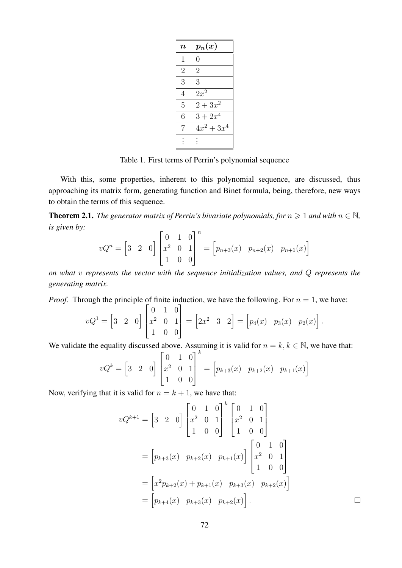| $\boldsymbol{n}$ | $p_n(x)$       |
|------------------|----------------|
| 1                | 0              |
| $\overline{2}$   | $\overline{2}$ |
| 3                | 3              |
| $\overline{4}$   | $2x^2$         |
| 5                | $2 + 3x^2$     |
| 6                | $3+2x^4$       |
| 7                | $4x^2 + 3x^4$  |
|                  |                |

Table 1. First terms of Perrin's polynomial sequence

With this, some properties, inherent to this polynomial sequence, are discussed, thus approaching its matrix form, generating function and Binet formula, being, therefore, new ways to obtain the terms of this sequence.

**Theorem 2.1.** *The generator matrix of Perrin's bivariate polynomials, for*  $n \geq 1$  *and with*  $n \in \mathbb{N}$ *, is given by:*  $\overline{a}$ 

$$
vQ^{n} = \begin{bmatrix} 3 & 2 & 0 \end{bmatrix} \begin{bmatrix} 0 & 1 & 0 \\ x^{2} & 0 & 1 \\ 1 & 0 & 0 \end{bmatrix}^{n} = \begin{bmatrix} p_{n+3}(x) & p_{n+2}(x) & p_{n+1}(x) \end{bmatrix}
$$

*on what* v *represents the vector with the sequence initialization values, and* Q *represents the generating matrix.*

*Proof.* Through the principle of finite induction, we have the following. For  $n = 1$ , we have:

$$
vQ^{1} = \begin{bmatrix} 3 & 2 & 0 \end{bmatrix} \begin{bmatrix} 0 & 1 & 0 \\ x^{2} & 0 & 1 \\ 1 & 0 & 0 \end{bmatrix} = \begin{bmatrix} 2x^{2} & 3 & 2 \end{bmatrix} = \begin{bmatrix} p_{4}(x) & p_{3}(x) & p_{2}(x) \end{bmatrix}.
$$

We validate the equality discussed above. Assuming it is valid for  $n = k, k \in \mathbb{N}$ , we have that:

$$
vQ^{k} = \begin{bmatrix} 3 & 2 & 0 \end{bmatrix} \begin{bmatrix} 0 & 1 & 0 \\ x^{2} & 0 & 1 \\ 1 & 0 & 0 \end{bmatrix}^{k} = \begin{bmatrix} p_{k+3}(x) & p_{k+2}(x) & p_{k+1}(x) \end{bmatrix}
$$

Now, verifying that it is valid for  $n = k + 1$ , we have that:

$$
vQ^{k+1} = \begin{bmatrix} 3 & 2 & 0 \end{bmatrix} \begin{bmatrix} 0 & 1 & 0 \ x^2 & 0 & 1 \ 1 & 0 & 0 \end{bmatrix}^k \begin{bmatrix} 0 & 1 & 0 \ x^2 & 0 & 1 \ 1 & 0 & 0 \end{bmatrix}
$$
  
= 
$$
\begin{bmatrix} p_{k+3}(x) & p_{k+2}(x) & p_{k+1}(x) \end{bmatrix} \begin{bmatrix} 0 & 1 & 0 \ x^2 & 0 & 1 \ 1 & 0 & 0 \end{bmatrix}
$$
  
= 
$$
\begin{bmatrix} x^2p_{k+2}(x) + p_{k+1}(x) & p_{k+3}(x) & p_{k+2}(x) \end{bmatrix}
$$
  
= 
$$
\begin{bmatrix} p_{k+4}(x) & p_{k+3}(x) & p_{k+2}(x) \end{bmatrix}.
$$

 $\Box$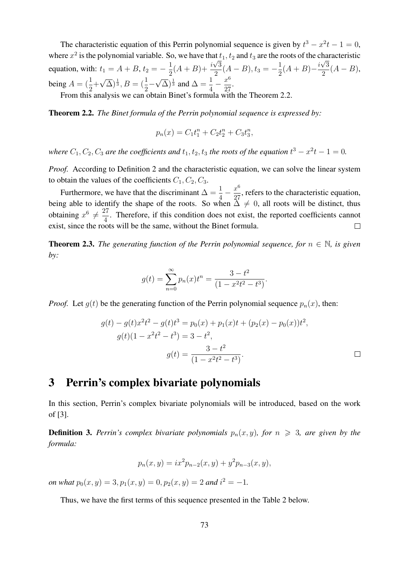The characteristic equation of this Perrin polynomial sequence is given by  $t^3 - x^2t - 1 = 0$ , where  $x^2$  is the polynomial variable. So, we have that  $t_1, t_2$  and  $t_3$  are the roots of the characteristic equation, with:  $t_1 = A + B$ ,  $t_2 = -\frac{1}{2}$  $\frac{1}{2}(A+B)+\frac{i\sqrt{3}}{2}$  $\frac{\sqrt{3}}{2}(A-B), t_3=-\frac{1}{2}$  $rac{1}{2}(A+B)-\frac{i\sqrt{3}}{2}$  $\frac{\sqrt{3}}{2}(A-B),$ being  $A = \left(\frac{1}{2} + \cdots\right)$  $(\sqrt{\Delta})^{\frac{1}{3}}, B = (\frac{1}{2} \sqrt{\Delta}$ )<sup>1</sup>/<sub>3</sub> and  $\Delta = \frac{1}{4} - \frac{x^6}{27}$  $rac{u}{27}$ .

From this analysis we can obtain Binet's formula with the Theorem 2.2.

Theorem 2.2. *The Binet formula of the Perrin polynomial sequence is expressed by:*

$$
p_n(x) = C_1 t_1^n + C_2 t_2^n + C_3 t_3^n,
$$

*where*  $C_1$ ,  $C_2$ ,  $C_3$  *are the coefficients and*  $t_1$ ,  $t_2$ ,  $t_3$  *the roots of the equation*  $t^3 - x^2t - 1 = 0$ .

*Proof.* According to Definition 2 and the characteristic equation, we can solve the linear system to obtain the values of the coefficients  $C_1, C_2, C_3$ .

Furthermore, we have that the discriminant  $\Delta = \frac{1}{4} - \frac{x^6}{27}$  $\frac{x}{27}$ , refers to the characteristic equation, being able to identify the shape of the roots. So when  $\Delta \neq 0$ , all roots will be distinct, thus obtaining  $x^6 \neq \frac{27}{4}$  $\frac{21}{4}$ . Therefore, if this condition does not exist, the reported coefficients cannot exist, since the roots will be the same, without the Binet formula.  $\Box$ 

**Theorem 2.3.** The generating function of the Perrin polynomial sequence, for  $n \in \mathbb{N}$ , is given *by:*

$$
g(t) = \sum_{n=0}^{\infty} p_n(x)t^n = \frac{3 - t^2}{(1 - x^2t^2 - t^3)}.
$$

*Proof.* Let  $g(t)$  be the generating function of the Perrin polynomial sequence  $p_n(x)$ , then:

$$
g(t) - g(t)x^{2}t^{2} - g(t)t^{3} = p_{0}(x) + p_{1}(x)t + (p_{2}(x) - p_{0}(x))t^{2},
$$
  
\n
$$
g(t)(1 - x^{2}t^{2} - t^{3}) = 3 - t^{2},
$$
  
\n
$$
g(t) = \frac{3 - t^{2}}{(1 - x^{2}t^{2} - t^{3})}.
$$

### 3 Perrin's complex bivariate polynomials

In this section, Perrin's complex bivariate polynomials will be introduced, based on the work of [3].

**Definition 3.** Perrin's complex bivariate polynomials  $p_n(x, y)$ , for  $n \geq 3$ , are given by the *formula:*

$$
p_n(x, y) = ix^2 p_{n-2}(x, y) + y^2 p_{n-3}(x, y),
$$

*on what*  $p_0(x, y) = 3$ ,  $p_1(x, y) = 0$ ,  $p_2(x, y) = 2$  *and*  $i^2 = -1$ *.* 

Thus, we have the first terms of this sequence presented in the Table 2 below.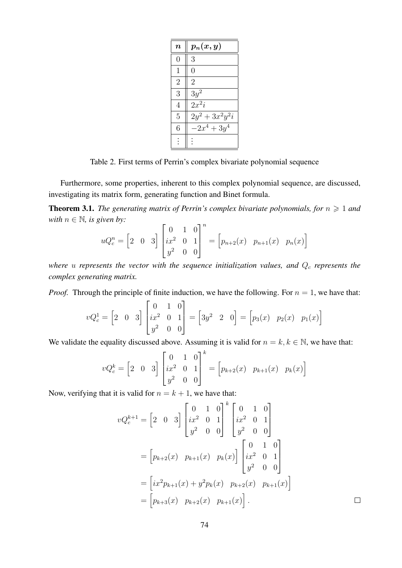| $\boldsymbol{n}$ | $p_n(x,y)$        |
|------------------|-------------------|
| $\left( \right)$ | 3                 |
| 1                | 0                 |
| $\overline{2}$   | $\overline{2}$    |
| 3                | $3y^2$            |
| $\overline{4}$   | $2x^2i$           |
| 5                | $2y^2 + 3x^2y^2i$ |
| 6                | $-2x^4+3y^4$      |
|                  |                   |

Table 2. First terms of Perrin's complex bivariate polynomial sequence

Furthermore, some properties, inherent to this complex polynomial sequence, are discussed, investigating its matrix form, generating function and Binet formula.

**Theorem 3.1.** *The generating matrix of Perrin's complex bivariate polynomials, for*  $n \geq 1$  *and with*  $n \in \mathbb{N}$ *, is given by:*  $\mathbf{r}$ 

$$
uQ_c^n = \begin{bmatrix} 2 & 0 & 3 \end{bmatrix} \begin{bmatrix} 0 & 1 & 0 \\ ix^2 & 0 & 1 \\ y^2 & 0 & 0 \end{bmatrix}^n = \begin{bmatrix} p_{n+2}(x) & p_{n+1}(x) & p_n(x) \end{bmatrix}
$$

*where u represents the vector with the sequence initialization values, and*  $Q_c$  *represents the complex generating matrix.*

*Proof.* Through the principle of finite induction, we have the following. For  $n = 1$ , we have that:

$$
vQ_c^1 = \begin{bmatrix} 2 & 0 & 3 \end{bmatrix} \begin{bmatrix} 0 & 1 & 0 \\ ix^2 & 0 & 1 \\ y^2 & 0 & 0 \end{bmatrix} = \begin{bmatrix} 3y^2 & 2 & 0 \end{bmatrix} = \begin{bmatrix} p_3(x) & p_2(x) & p_1(x) \end{bmatrix}
$$

We validate the equality discussed above. Assuming it is valid for  $n = k, k \in \mathbb{N}$ , we have that:

$$
vQ_c^k = \begin{bmatrix} 2 & 0 & 3 \end{bmatrix} \begin{bmatrix} 0 & 1 & 0 \\ ix^2 & 0 & 1 \\ y^2 & 0 & 0 \end{bmatrix}^k = \begin{bmatrix} p_{k+2}(x) & p_{k+1}(x) & p_k(x) \end{bmatrix}
$$

Now, verifying that it is valid for  $n = k + 1$ , we have that:

$$
vQ_c^{k+1} = \begin{bmatrix} 2 & 0 & 3 \end{bmatrix} \begin{bmatrix} 0 & 1 & 0 \ ix^2 & 0 & 1 \ y^2 & 0 & 0 \end{bmatrix}^k \begin{bmatrix} 0 & 1 & 0 \ ix^2 & 0 & 1 \ y^2 & 0 & 0 \end{bmatrix}
$$
  
= 
$$
\begin{bmatrix} p_{k+2}(x) & p_{k+1}(x) & p_k(x) \ y^2 & 0 & 0 \end{bmatrix} \begin{bmatrix} 0 & 1 & 0 \ ix^2 & 0 & 1 \ y^2 & 0 & 0 \end{bmatrix}
$$
  
= 
$$
\begin{bmatrix} ix^2p_{k+1}(x) + y^2p_k(x) & p_{k+2}(x) & p_{k+1}(x) \ y^2 & 0 & 0 \end{bmatrix}
$$
  
= 
$$
\begin{bmatrix} p_{k+3}(x) & p_{k+2}(x) & p_{k+1}(x) \end{bmatrix}.
$$

 $\Box$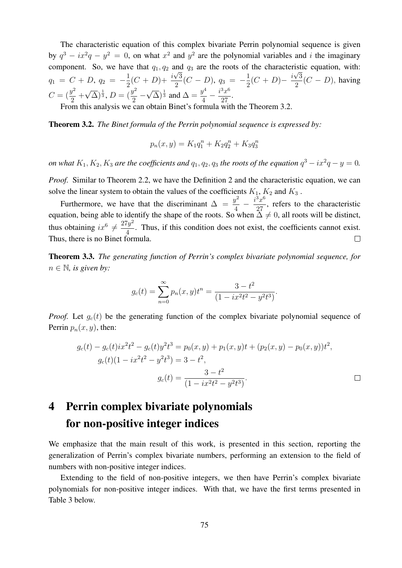The characteristic equation of this complex bivariate Perrin polynomial sequence is given by  $q^3 - ix^2q - y^2 = 0$ , on what  $x^2$  and  $y^2$  are the polynomial variables and i the imaginary component. So, we have that  $q_1, q_2$  and  $q_3$  are the roots of the characteristic equation, with:  $q_1 = C + D, q_2 = -\frac{1}{2}$  $\frac{1}{2}(C+D)+\frac{i\sqrt{3}}{2}$  $\frac{\sqrt{3}}{2}(C-D), q_3 = -\frac{1}{2}$  $rac{1}{2}(C+D)-\frac{i\sqrt{3}}{2}$  $\frac{\sqrt{3}}{2}(C-D)$ , having  $C = \left(\frac{y^2}{2}\right)$  $\frac{1}{2}$  +  $(\sqrt{\Delta})^{\frac{1}{3}}, D = (\frac{y^2}{2})^2$  $\frac{y}{2}$  –  $\sqrt{\Delta}$ )<sup>1</sup>/<sub>3</sub> and  $\Delta = \frac{y^4}{4}$  $rac{y^4}{4} - \frac{i^3x^6}{27}$  $rac{x}{27}$ .

From this analysis we can obtain Binet's formula with the Theorem 3.2.

Theorem 3.2. *The Binet formula of the Perrin polynomial sequence is expressed by:*

$$
p_n(x,y) = K_1 q_1^n + K_2 q_2^n + K_3 q_3^n
$$

*on what*  $K_1, K_2, K_3$  *are the coefficients and*  $q_1, q_2, q_3$  *the roots of the equation*  $q^3 - ix^2q - y = 0$ *.* 

*Proof.* Similar to Theorem 2.2, we have the Definition 2 and the characteristic equation, we can solve the linear system to obtain the values of the coefficients  $K_1$ ,  $K_2$  and  $K_3$ .

Furthermore, we have that the discriminant  $\Delta = \frac{y^2}{4\pi}$  $rac{y^2}{4} - \frac{i^3x^6}{27}$  $\frac{x}{27}$ , refers to the characteristic equation, being able to identify the shape of the roots. So when  $\Delta \neq 0$ , all roots will be distinct, thus obtaining  $ix^6 \neq \frac{27y^2}{4}$  $\frac{y}{4}$ . Thus, if this condition does not exist, the coefficients cannot exist. Thus, there is no Binet formula.  $\Box$ 

Theorem 3.3. *The generating function of Perrin's complex bivariate polynomial sequence, for*  $n \in \mathbb{N}$ , is given by:

$$
g_c(t) = \sum_{n=0}^{\infty} p_n(x, y)t^n = \frac{3 - t^2}{(1 - ix^2t^2 - y^2t^3)}.
$$

*Proof.* Let  $g_c(t)$  be the generating function of the complex bivariate polynomial sequence of Perrin  $p_n(x, y)$ , then:

$$
g_c(t) - g_c(t)ix^2t^2 - g_c(t)y^2t^3 = p_0(x, y) + p_1(x, y)t + (p_2(x, y) - p_0(x, y))t^2,
$$
  
\n
$$
g_c(t)(1 - ix^2t^2 - y^2t^3) = 3 - t^2,
$$
  
\n
$$
g_c(t) = \frac{3 - t^2}{(1 - ix^2t^2 - y^2t^3)}.
$$

# 4 Perrin complex bivariate polynomials for non-positive integer indices

We emphasize that the main result of this work, is presented in this section, reporting the generalization of Perrin's complex bivariate numbers, performing an extension to the field of numbers with non-positive integer indices.

Extending to the field of non-positive integers, we then have Perrin's complex bivariate polynomials for non-positive integer indices. With that, we have the first terms presented in Table 3 below.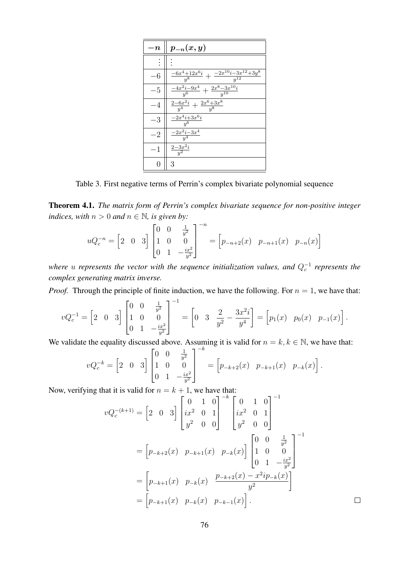$$
\begin{array}{|c|c|} \hline -n&\bm{p_{-n}}(\bm{x},\bm{y}) \\ \hline \hline \vdots & \vdots \\ \hline -6 & \frac{-6x^4+12x^6i}{y^8}+\frac{-2x^{10}i-3x^{12}+3y^8}{y^{12}} \\ \hline -5 & \frac{-4x^2i-9x^4}{y^6}+\frac{2x^8-3x^{10}i}{y^{10}} \\ \hline -4 & \frac{2-6x^2i}{y^4}+\frac{2x^6+3x^8}{y^8} \\ \hline -3 & \frac{-2x^4i+3x^6i}{y^6} \\ \hline -2 & \frac{-2x^2i-3x^4}{y^4} \\ \hline -1 & \frac{2-3x^2i}{y^2} \\ \hline 0 & 3 &\\ \hline \end{array}
$$

Table 3. First negative terms of Perrin's complex bivariate polynomial sequence

Theorem 4.1. *The matrix form of Perrin's complex bivariate sequence for non-positive integer indices, with*  $n > 0$  *and*  $n \in \mathbb{N}$ *, is given by:* 

$$
uQ_c^{-n} = \begin{bmatrix} 2 & 0 & 3 \end{bmatrix} \begin{bmatrix} 0 & 0 & \frac{1}{y^2} \\ 1 & 0 & 0 \\ 0 & 1 & -\frac{ix^2}{y^2} \end{bmatrix}^{-n} = \begin{bmatrix} p_{-n+2}(x) & p_{-n+1}(x) & p_{-n}(x) \end{bmatrix}
$$

*where u represents the vector with the sequence initialization values, and*  $Q_c^{-1}$  *represents the complex generating matrix inverse.*

*Proof.* Through the principle of finite induction, we have the following. For  $n = 1$ , we have that:

$$
vQ_c^{-1} = \begin{bmatrix} 2 & 0 & 3 \end{bmatrix} \begin{bmatrix} 0 & 0 & \frac{1}{y^2} \\ 1 & 0 & 0 \\ 0 & 1 & -\frac{ix^2}{y^2} \end{bmatrix}^{-1} = \begin{bmatrix} 0 & 3 & \frac{2}{y^2} - \frac{3x^2i}{y^4} \end{bmatrix} = \begin{bmatrix} p_1(x) & p_0(x) & p_{-1}(x) \end{bmatrix}.
$$

We validate the equality discussed above. Assuming it is valid for  $n = k, k \in \mathbb{N}$ , we have that:

$$
vQ_c^{-k} = \begin{bmatrix} 2 & 0 & 3 \end{bmatrix} \begin{bmatrix} 0 & 0 & \frac{1}{y^2} \\ 1 & 0 & 0 \\ 0 & 1 & -\frac{ix^2}{y^2} \end{bmatrix}^{-k} = \begin{bmatrix} p_{-k+2}(x) & p_{-k+1}(x) & p_{-k}(x) \end{bmatrix}.
$$

Now, verifying that it is valid for  $n = k + 1$ , we have that:

$$
vQ_c^{-(k+1)} = \begin{bmatrix} 2 & 0 & 3 \end{bmatrix} \begin{bmatrix} 0 & 1 & 0 \ ix^2 & 0 & 1 \ y^2 & 0 & 0 \end{bmatrix}^{-k} \begin{bmatrix} 0 & 1 & 0 \ ix^2 & 0 & 1 \ y^2 & 0 & 0 \end{bmatrix}^{-1}
$$
  
= 
$$
\begin{bmatrix} p_{-k+2}(x) & p_{-k+1}(x) & p_{-k}(x) \end{bmatrix} \begin{bmatrix} 0 & 0 & \frac{1}{y^2} \\ 1 & 0 & 0 \\ 0 & 1 & -\frac{ix^2}{y^2} \end{bmatrix}^{-1}
$$
  
= 
$$
\begin{bmatrix} p_{-k+1}(x) & p_{-k}(x) & \frac{p_{-k+2}(x) - x^2 ip_{-k}(x)}{y^2} \end{bmatrix}
$$
  
= 
$$
\begin{bmatrix} p_{-k+1}(x) & p_{-k}(x) & p_{-k-1}(x) \end{bmatrix}.
$$

 $\Box$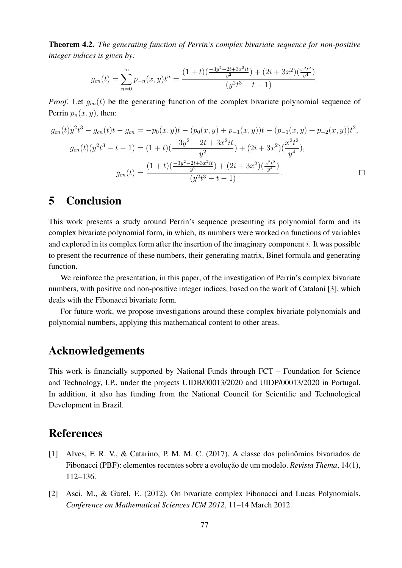Theorem 4.2. *The generating function of Perrin's complex bivariate sequence for non-positive integer indices is given by:*

$$
g_{cn}(t) = \sum_{n=0}^{\infty} p_{-n}(x, y)t^n = \frac{(1+t)\left(\frac{-3y^2 - 2t + 3x^2it}{y^2}\right) + (2i + 3x^2)\left(\frac{x^2t^2}{y^4}\right)}{(y^2t^3 - t - 1)}.
$$

*Proof.* Let  $q_{cn}(t)$  be the generating function of the complex bivariate polynomial sequence of Perrin  $p_n(x, y)$ , then:

$$
g_{cn}(t)y^{2}t^{3} - g_{cn}(t)t - g_{cn} = -p_{0}(x, y)t - (p_{0}(x, y) + p_{-1}(x, y))t - (p_{-1}(x, y) + p_{-2}(x, y))t^{2},
$$
  
\n
$$
g_{cn}(t)(y^{2}t^{3} - t - 1) = (1 + t)(\frac{-3y^{2} - 2t + 3x^{2}it}{y^{2}}) + (2i + 3x^{2})(\frac{x^{2}t^{2}}{y^{4}}),
$$
  
\n
$$
g_{cn}(t) = \frac{(1 + t)(\frac{-3y^{2} - 2t + 3x^{2}it}{y^{2}}) + (2i + 3x^{2})(\frac{x^{2}t^{2}}{y^{4}})}{(y^{2}t^{3} - t - 1)}.
$$

## 5 Conclusion

This work presents a study around Perrin's sequence presenting its polynomial form and its complex bivariate polynomial form, in which, its numbers were worked on functions of variables and explored in its complex form after the insertion of the imaginary component  $i$ . It was possible to present the recurrence of these numbers, their generating matrix, Binet formula and generating function.

We reinforce the presentation, in this paper, of the investigation of Perrin's complex bivariate numbers, with positive and non-positive integer indices, based on the work of Catalani [3], which deals with the Fibonacci bivariate form.

For future work, we propose investigations around these complex bivariate polynomials and polynomial numbers, applying this mathematical content to other areas.

#### Acknowledgements

This work is financially supported by National Funds through FCT – Foundation for Science and Technology, I.P., under the projects UIDB/00013/2020 and UIDP/00013/2020 in Portugal. In addition, it also has funding from the National Council for Scientific and Technological Development in Brazil.

#### References

- [1] Alves, F. R. V., & Catarino, P. M. M. C. (2017). A classe dos polinômios bivariados de Fibonacci (PBF): elementos recentes sobre a evolução de um modelo. *Revista Thema*, 14(1), 112–136.
- [2] Asci, M., & Gurel, E. (2012). On bivariate complex Fibonacci and Lucas Polynomials. *Conference on Mathematical Sciences ICM 2012*, 11–14 March 2012.